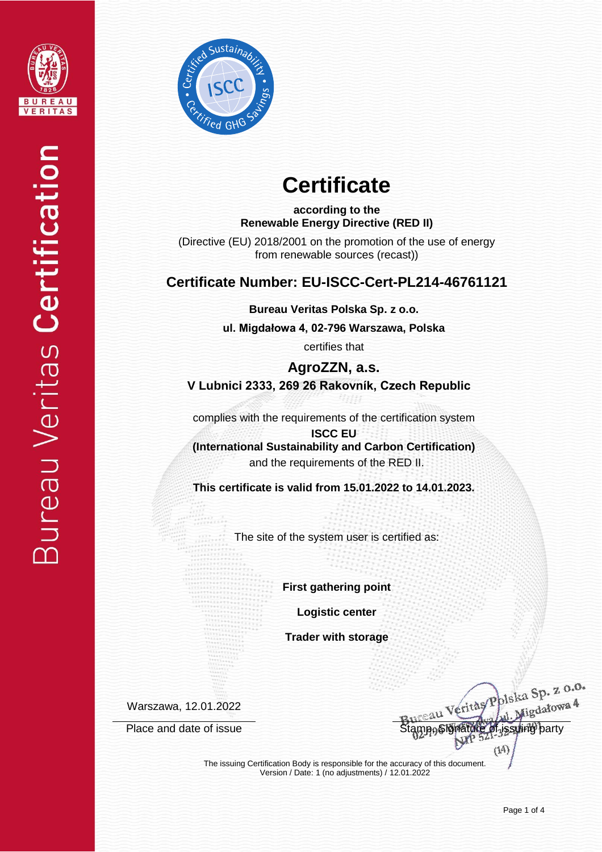



# **Certificate**

**according to the Renewable Energy Directive (RED II)**

(Directive (EU) 2018/2001 on the promotion of the use of energy from renewable sources (recast))

### **Certificate Number: EU-ISCC-Cert-PL214-46761121**

**Bureau Veritas Polska Sp. z o.o.**

**ul. Migdałowa 4, 02-796 Warszawa, Polska** 

certifies that

**AgroZZN, a.s. V Lubnici 2333, 269 26 Rakovník, Czech Republic**

complies with the requirements of the certification system

**ISCC EU (International Sustainability and Carbon Certification)** and the requirements of the RED II.

**This certificate is valid from 15.01.2022 to 14.01.2023.**

The site of the system user is certified as:

**First gathering point**

**Logistic center**

**Trader with storage**

Warszawa, 12.01.2022

eritas Polska Sp. z o.o. ska Sp.<br>Migdałowa 4 Place and date of issue Stamp, Signature of issuing party

The issuing Certification Body is responsible for the accuracy of this document. Version / Date: 1 (no adjustments) / 12.01.2022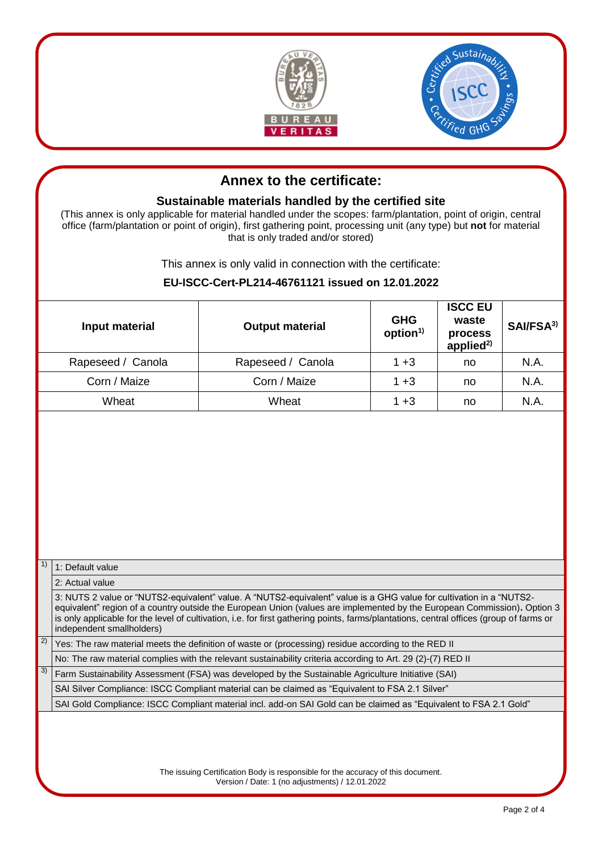



## **Annex to the certificate:**

### **Sustainable materials handled by the certified site**

(This annex is only applicable for material handled under the scopes: farm/plantation, point of origin, central office (farm/plantation or point of origin), first gathering point, processing unit (any type) but **not** for material that is only traded and/or stored)

This annex is only valid in connection with the certificate:

#### **EU-ISCC-Cert-PL214-46761121 issued on 12.01.2022**

|                                                                                                                                                                                                                                                                                                                                                                                                                                         | Input material                                                                                                    | <b>Output material</b> | <b>GHG</b><br>option <sup>1)</sup> | <b>ISCC EU</b><br>waste<br>process<br>applied $^{2)}$ | SAI/FSA <sup>3)</sup> |    |                                                                                                    |  |
|-----------------------------------------------------------------------------------------------------------------------------------------------------------------------------------------------------------------------------------------------------------------------------------------------------------------------------------------------------------------------------------------------------------------------------------------|-------------------------------------------------------------------------------------------------------------------|------------------------|------------------------------------|-------------------------------------------------------|-----------------------|----|----------------------------------------------------------------------------------------------------|--|
| Rapeseed / Canola                                                                                                                                                                                                                                                                                                                                                                                                                       |                                                                                                                   | Rapeseed / Canola      | $1 + 3$                            | no                                                    | N.A.                  |    |                                                                                                    |  |
| Corn / Maize                                                                                                                                                                                                                                                                                                                                                                                                                            |                                                                                                                   | Corn / Maize           | $1 + 3$                            | no                                                    | N.A.                  |    |                                                                                                    |  |
| Wheat                                                                                                                                                                                                                                                                                                                                                                                                                                   |                                                                                                                   | Wheat                  | $1 + 3$                            | no                                                    | N.A.                  |    |                                                                                                    |  |
| 1)<br>1: Default value<br>2: Actual value<br>3: NUTS 2 value or "NUTS2-equivalent" value. A "NUTS2-equivalent" value is a GHG value for cultivation in a "NUTS2-<br>equivalent" region of a country outside the European Union (values are implemented by the European Commission). Option 3<br>is only applicable for the level of cultivation, i.e. for first gathering points, farms/plantations, central offices (group of farms or |                                                                                                                   |                        |                                    |                                                       |                       |    |                                                                                                    |  |
| independent smallholders)<br>$\boxed{2}$<br>Yes: The raw material meets the definition of waste or (processing) residue according to the RED II<br>No: The raw material complies with the relevant sustainability criteria according to Art. 29 (2)-(7) RED II                                                                                                                                                                          |                                                                                                                   |                        |                                    |                                                       |                       |    |                                                                                                    |  |
|                                                                                                                                                                                                                                                                                                                                                                                                                                         |                                                                                                                   |                        |                                    |                                                       |                       | 3) | Farm Sustainability Assessment (FSA) was developed by the Sustainable Agriculture Initiative (SAI) |  |
|                                                                                                                                                                                                                                                                                                                                                                                                                                         | SAI Silver Compliance: ISCC Compliant material can be claimed as "Equivalent to FSA 2.1 Silver"                   |                        |                                    |                                                       |                       |    |                                                                                                    |  |
|                                                                                                                                                                                                                                                                                                                                                                                                                                         | SAI Gold Compliance: ISCC Compliant material incl. add-on SAI Gold can be claimed as "Equivalent to FSA 2.1 Gold" |                        |                                    |                                                       |                       |    |                                                                                                    |  |
| The issuing Certification Body is responsible for the accuracy of this document.<br>Version / Date: 1 (no adjustments) / 12.01.2022                                                                                                                                                                                                                                                                                                     |                                                                                                                   |                        |                                    |                                                       |                       |    |                                                                                                    |  |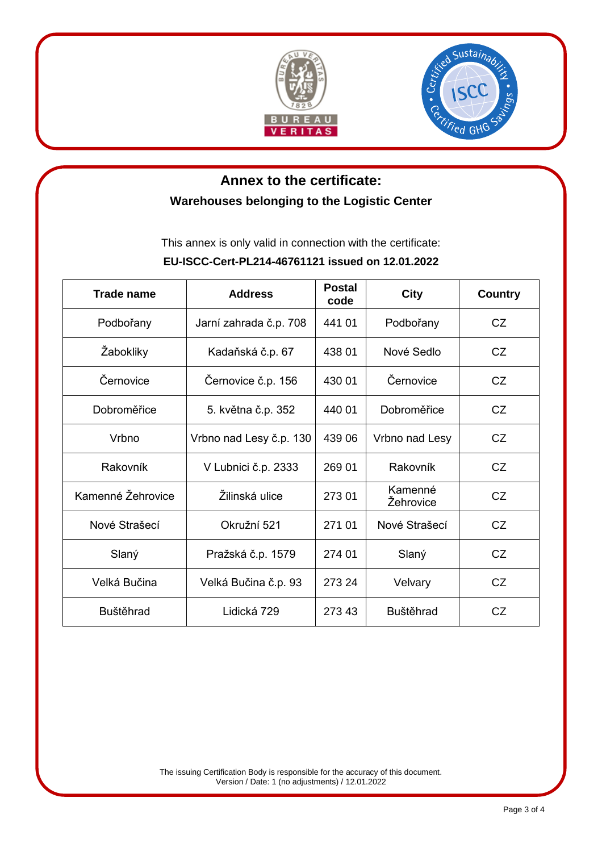



# **Annex to the certificate: Warehouses belonging to the Logistic Center**

This annex is only valid in connection with the certificate:

#### **EU-ISCC-Cert-PL214-46761121 issued on 12.01.2022**

| Trade name        | <b>Address</b>          | <b>Postal</b><br>code | <b>City</b>          | <b>Country</b> |
|-------------------|-------------------------|-----------------------|----------------------|----------------|
| Podbořany         | Jarní zahrada č.p. 708  | 441 01                | Podbořany            | CZ.            |
| Žabokliky         | Kadaňská č.p. 67        | 438 01                | Nové Sedlo           | CZ.            |
| Černovice         | Černovice č.p. 156      | 430 01                | Černovice            | CZ             |
| Dobroměřice       | 5. května č.p. 352      | 440 01                | Dobroměřice          | CZ             |
| Vrbno             | Vrbno nad Lesy č.p. 130 | 439 06                | Vrbno nad Lesy       | CZ             |
| Rakovník          | V Lubnici č.p. 2333     | 269 01                | Rakovník             | CZ             |
| Kamenné Žehrovice | Žilinská ulice          | 273 01                | Kamenné<br>Žehrovice | CZ             |
| Nové Strašecí     | Okružní 521             | 271 01                | Nové Strašecí        | CZ             |
| Slaný             | Pražská č.p. 1579       | 274 01                | Slaný                | CZ             |
| Velká Bučina      | Velká Bučina č.p. 93    | 273 24                | Velvary              | CZ             |
| <b>Buštěhrad</b>  | Lidická 729             | 273 43                | <b>Buštěhrad</b>     | CZ             |

The issuing Certification Body is responsible for the accuracy of this document. Version / Date: 1 (no adjustments) / 12.01.2022